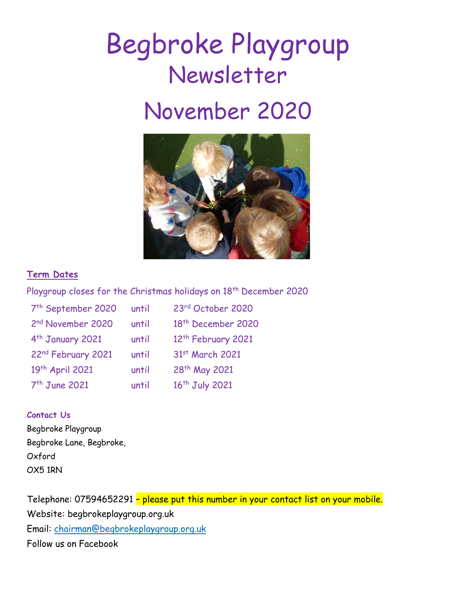# Begbroke Playgroup Newsletter November 2020



## **Term Dates**

Playgroup closes for the Christmas holidays on 18<sup>th</sup> December 2020

| 7 <sup>th</sup> September 2020 | until | 23rd October 2020              |
|--------------------------------|-------|--------------------------------|
| 2nd November 2020              | until | 18 <sup>th</sup> December 2020 |
| 4 <sup>th</sup> January 2021   | until | 12 <sup>th</sup> February 2021 |
| 22nd February 2021             | until | 31st March 2021                |
| 19th April 2021                | until | 28 <sup>th</sup> May 2021      |
| 7 <sup>th</sup> June 2021      | until | 16 <sup>th</sup> July 2021     |

## **Contact Us**

Begbroke Playgroup Begbroke Lane, Begbroke, Oxford OX5 1RN

Telephone: 07594652291 – please put this number in your contact list on your mobile. Website: begbrokeplaygroup.org.uk Email: [chairman@begbrokeplaygroup.org.uk](mailto:chairman@begbrokeplaygroup.org.uk) Follow us on Facebook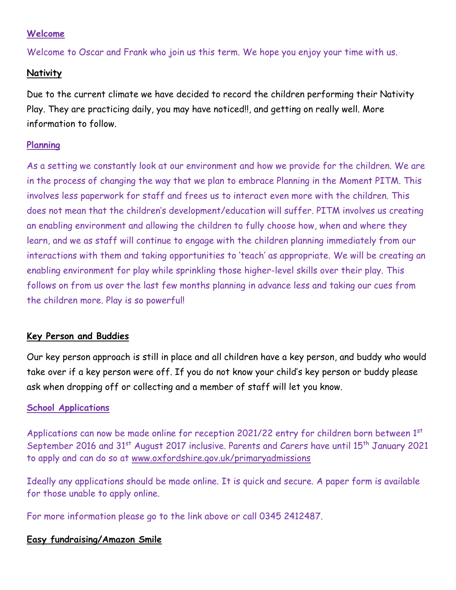## **Welcome**

Welcome to Oscar and Frank who join us this term. We hope you enjoy your time with us.

# **Nativity**

Due to the current climate we have decided to record the children performing their Nativity Play. They are practicing daily, you may have noticed!!, and getting on really well. More information to follow.

# **Planning**

As a setting we constantly look at our environment and how we provide for the children. We are in the process of changing the way that we plan to embrace Planning in the Moment PITM. This involves less paperwork for staff and frees us to interact even more with the children. This does not mean that the children's development/education will suffer. PITM involves us creating an enabling environment and allowing the children to fully choose how, when and where they learn, and we as staff will continue to engage with the children planning immediately from our interactions with them and taking opportunities to 'teach' as appropriate. We will be creating an enabling environment for play while sprinkling those higher-level skills over their play. This follows on from us over the last few months planning in advance less and taking our cues from the children more. Play is so powerful!

# **Key Person and Buddies**

Our key person approach is still in place and all children have a key person, and buddy who would take over if a key person were off. If you do not know your child's key person or buddy please ask when dropping off or collecting and a member of staff will let you know.

# **School Applications**

Applications can now be made online for reception 2021/22 entry for children born between  $1<sup>st</sup>$ September 2016 and 31<sup>st</sup> August 2017 inclusive. Parents and Carers have until 15<sup>th</sup> January 2021 to apply and can do so at [www.oxfordshire.gov.uk/primaryadmissions](http://www.oxfordshire.gov.uk/primaryadmissions)

Ideally any applications should be made online. It is quick and secure. A paper form is available for those unable to apply online.

For more information please go to the link above or call 0345 2412487.

## **Easy fundraising/Amazon Smile**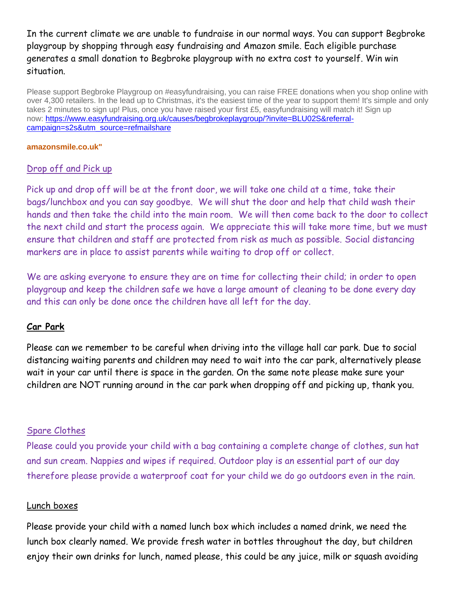In the current climate we are unable to fundraise in our normal ways. You can support Begbroke playgroup by shopping through easy fundraising and Amazon smile. Each eligible purchase generates a small donation to Begbroke playgroup with no extra cost to yourself. Win win situation.

Please support Begbroke Playgroup on #easyfundraising, you can raise FREE donations when you shop online with over 4,300 retailers. In the lead up to Christmas, it's the easiest time of the year to support them! It's simple and only takes 2 minutes to sign up! Plus, once you have raised your first £5, easyfundraising will match it! Sign up now: [https://www.easyfundraising.org.uk/causes/begbrokeplaygroup/?invite=BLU02S&referral](https://www.easyfundraising.org.uk/causes/begbrokeplaygroup/?invite=BLU02S&referral-campaign=s2s&utm_source=refmailshare)[campaign=s2s&utm\\_source=refmailshare](https://www.easyfundraising.org.uk/causes/begbrokeplaygroup/?invite=BLU02S&referral-campaign=s2s&utm_source=refmailshare)

#### **amazonsmile.co.uk"**

## Drop off and Pick up

Pick up and drop off will be at the front door, we will take one child at a time, take their bags/lunchbox and you can say goodbye. We will shut the door and help that child wash their hands and then take the child into the main room. We will then come back to the door to collect the next child and start the process again. We appreciate this will take more time, but we must ensure that children and staff are protected from risk as much as possible. Social distancing markers are in place to assist parents while waiting to drop off or collect.

We are asking everyone to ensure they are on time for collecting their child; in order to open playgroup and keep the children safe we have a large amount of cleaning to be done every day and this can only be done once the children have all left for the day.

## **Car Park**

Please can we remember to be careful when driving into the village hall car park. Due to social distancing waiting parents and children may need to wait into the car park, alternatively please wait in your car until there is space in the garden. On the same note please make sure your children are NOT running around in the car park when dropping off and picking up, thank you.

#### Spare Clothes

Please could you provide your child with a bag containing a complete change of clothes, sun hat and sun cream. Nappies and wipes if required. Outdoor play is an essential part of our day therefore please provide a waterproof coat for your child we do go outdoors even in the rain.

#### Lunch boxes

Please provide your child with a named lunch box which includes a named drink, we need the lunch box clearly named. We provide fresh water in bottles throughout the day, but children enjoy their own drinks for lunch, named please, this could be any juice, milk or squash avoiding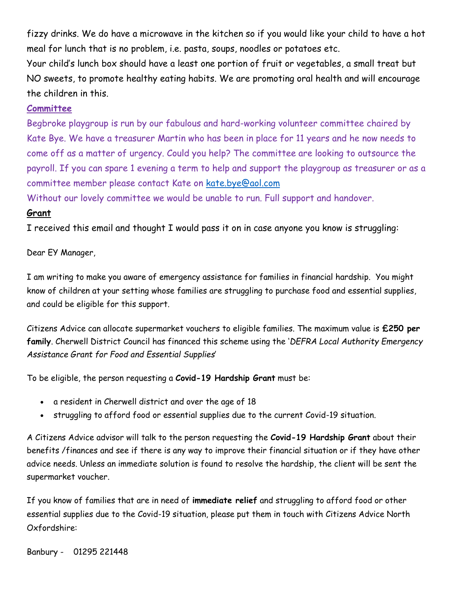fizzy drinks. We do have a microwave in the kitchen so if you would like your child to have a hot meal for lunch that is no problem, i.e. pasta, soups, noodles or potatoes etc.

Your child's lunch box should have a least one portion of fruit or vegetables, a small treat but NO sweets, to promote healthy eating habits. We are promoting oral health and will encourage the children in this.

## **Committee**

Begbroke playgroup is run by our fabulous and hard-working volunteer committee chaired by Kate Bye. We have a treasurer Martin who has been in place for 11 years and he now needs to come off as a matter of urgency. Could you help? The committee are looking to outsource the payroll. If you can spare 1 evening a term to help and support the playgroup as treasurer or as a committee member please contact Kate on [kate.bye@aol.com](mailto:kate.bye@aol.com)

Without our lovely committee we would be unable to run. Full support and handover.

## **Grant**

I received this email and thought I would pass it on in case anyone you know is struggling:

Dear EY Manager,

I am writing to make you aware of emergency assistance for families in financial hardship. You might know of children at your setting whose families are struggling to purchase food and essential supplies, and could be eligible for this support.

Citizens Advice can allocate supermarket vouchers to eligible families. The maximum value is **£250 per family**. Cherwell District Council has financed this scheme using the '*DEFRA Local Authority Emergency Assistance Grant for Food and Essential Supplies*'

To be eligible, the person requesting a **Covid-19 Hardship Grant** must be:

- a resident in Cherwell district and over the age of 18
- struggling to afford food or essential supplies due to the current Covid-19 situation.

A Citizens Advice advisor will talk to the person requesting the **Covid-19 Hardship Grant** about their benefits /finances and see if there is any way to improve their financial situation or if they have other advice needs. Unless an immediate solution is found to resolve the hardship, the client will be sent the supermarket voucher.

If you know of families that are in need of **immediate relief** and struggling to afford food or other essential supplies due to the Covid-19 situation, please put them in touch with Citizens Advice North Oxfordshire:

Banbury - 01295 221448